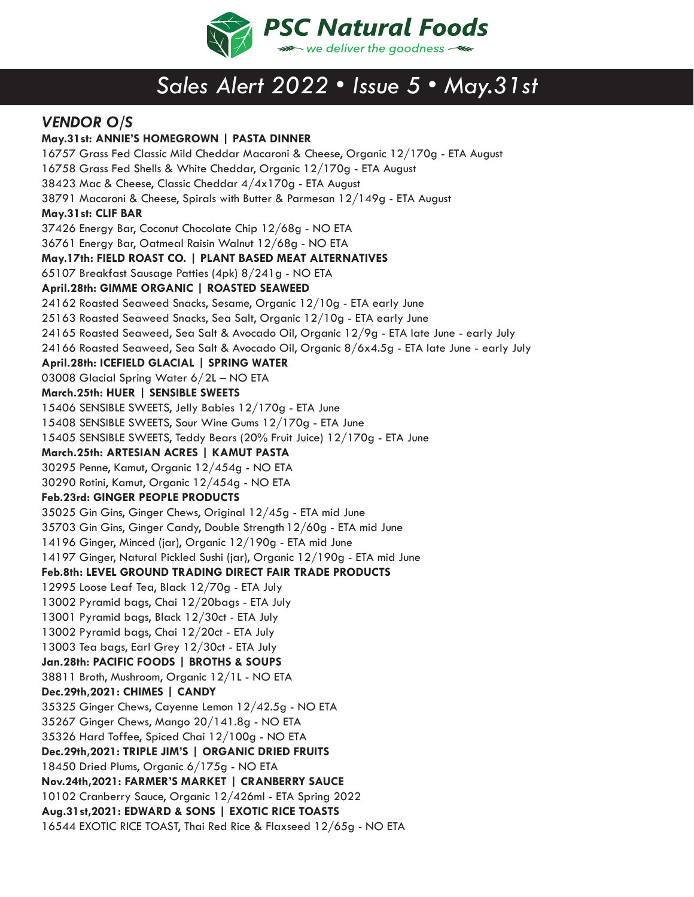

## *Sales Alert 2022 • Issue 5 • May.31st*

## *VENDOR O/S*

**May.31st: ANNIE'S HOMEGROWN | PASTA DINNER** 16757 Grass Fed Classic Mild Cheddar Macaroni & Cheese, Organic 12/170g - ETA August 16758 Grass Fed Shells & White Cheddar, Organic 12/170g - ETA August 38423 Mac & Cheese, Classic Cheddar 4/4x170g - ETA August 38791 Macaroni & Cheese, Spirals with Butter & Parmesan 12/149g - ETA August **May.31st: CLIF BAR** 37426 Energy Bar, Coconut Chocolate Chip 12/68g - NO ETA 36761 Energy Bar, Oatmeal Raisin Walnut 12/68g - NO ETA **May.17th: FIELD ROAST CO. | PLANT BASED MEAT ALTERNATIVES**  65107 Breakfast Sausage Patties (4pk) 8/241g - NO ETA **April.28th: GIMME ORGANIC | ROASTED SEAWEED**  24162 Roasted Seaweed Snacks, Sesame, Organic 12/10g - ETA early June 25163 Roasted Seaweed Snacks, Sea Salt, Organic 12/10g - ETA early June 24165 Roasted Seaweed, Sea Salt & Avocado Oil, Organic 12/9g - ETA late June - early July 24166 Roasted Seaweed, Sea Salt & Avocado Oil, Organic 8/6x4.5g - ETA late June - early July **April.28th: ICEFIELD GLACIAL | SPRING WATER** 03008 Glacial Spring Water 6/2L – NO ETA **March.25th: HUER | SENSIBLE SWEETS** 15406 SENSIBLE SWEETS, Jelly Babies 12/170g - ETA June 15408 SENSIBLE SWEETS, Sour Wine Gums 12/170g - ETA June 15405 SENSIBLE SWEETS, Teddy Bears (20% Fruit Juice) 12/170g - ETA June **March.25th: ARTESIAN ACRES | KAMUT PASTA** 30295 Penne, Kamut, Organic 12/454g - NO ETA 30290 Rotini, Kamut, Organic 12/454g - NO ETA **Feb.23rd: GINGER PEOPLE PRODUCTS** 35025 Gin Gins, Ginger Chews, Original 12/45g - ETA mid June 35703 Gin Gins, Ginger Candy, Double Strength 12/60g - ETA mid June 14196 Ginger, Minced (jar), Organic 12/190g - ETA mid June 14197 Ginger, Natural Pickled Sushi (jar), Organic 12/190g - ETA mid June **Feb.8th: LEVEL GROUND TRADING DIRECT FAIR TRADE PRODUCTS** 12995 Loose Leaf Tea, Black 12/70g - ETA July 13002 Pyramid bags, Chai 12/20bags - ETA July 13001 Pyramid bags, Black 12/30ct - ETA July 13002 Pyramid bags, Chai 12/20ct - ETA July 13003 Tea bags, Earl Grey 12/30ct - ETA July **Jan.28th: PACIFIC FOODS | BROTHS & SOUPS** 38811 Broth, Mushroom, Organic 12/1L - NO ETA **Dec.29th,2021: CHIMES | CANDY** 35325 Ginger Chews, Cayenne Lemon 12/42.5g - NO ETA 35267 Ginger Chews, Mango 20/141.8g - NO ETA 35326 Hard Toffee, Spiced Chai 12/100g - NO ETA **Dec.29th,2021: TRIPLE JIM'S | ORGANIC DRIED FRUITS** 18450 Dried Plums, Organic 6/175g - NO ETA **Nov.24th,2021: FARMER'S MARKET | CRANBERRY SAUCE** 10102 Cranberry Sauce, Organic 12/426ml - ETA Spring 2022 **Aug.31st,2021: EDWARD & SONS | EXOTIC RICE TOASTS** 16544 EXOTIC RICE TOAST, Thai Red Rice & Flaxseed 12/65g - NO ETA